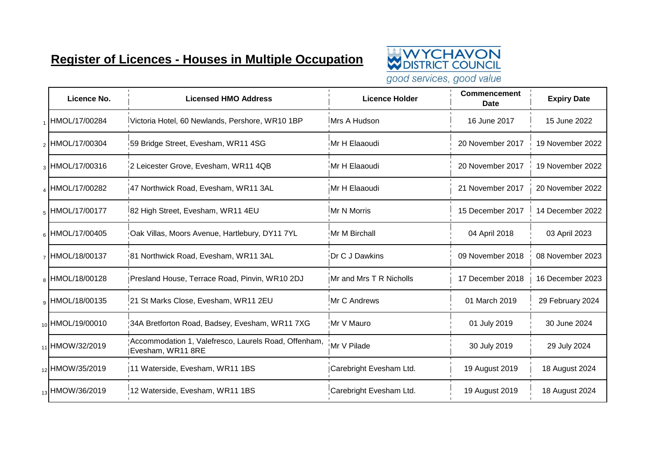## **Register of Licences - Houses in Multiple Occupation**



good services, good value

| Licence No.                 | <b>Licensed HMO Address</b>                                               | <b>Licence Holder</b>   | <b>Commencement</b><br><b>Date</b> | <b>Expiry Date</b> |
|-----------------------------|---------------------------------------------------------------------------|-------------------------|------------------------------------|--------------------|
| IHMOL/17/00284              | Victoria Hotel, 60 Newlands, Pershore, WR10 1BP                           | Mrs A Hudson            | 16 June 2017                       | 15 June 2022       |
| 2 HMOL/17/00304             | 59 Bridge Street, Evesham, WR11 4SG                                       | Mr H Elaaoudi           | 20 November 2017                   | 19 November 2022   |
| <sub>3</sub> HMOL/17/00316  | 2 Leicester Grove, Evesham, WR11 4QB                                      | Mr H Elaaoudi           | 20 November 2017                   | 19 November 2022   |
| 4 HMOL/17/00282             | 47 Northwick Road, Evesham, WR11 3AL                                      | Mr H Elaaoudi           | 21 November 2017                   | 20 November 2022   |
| 5 HMOL/17/00177             | 82 High Street, Evesham, WR11 4EU                                         | Mr N Morris             | 15 December 2017                   | 14 December 2022   |
| 6 HMOL/17/00405             | Oak Villas, Moors Avenue, Hartlebury, DY11 7YL                            | Mr M Birchall           | 04 April 2018                      | 03 April 2023      |
| $_7$ HMOL/18/00137          | 81 Northwick Road, Evesham, WR11 3AL                                      | Dr C J Dawkins          | 09 November 2018                   | 08 November 2023   |
| 8 HMOL/18/00128             | Presland House, Terrace Road, Pinvin, WR10 2DJ                            | Mr and Mrs T R Nicholls | 17 December 2018                   | 16 December 2023   |
| 9 HMOL/18/00135             | 21 St Marks Close, Evesham, WR11 2EU                                      | Mr C Andrews            | 01 March 2019                      | 29 February 2024   |
| <sub>10</sub> HMOL/19/00010 | 34A Bretforton Road, Badsey, Evesham, WR11 7XG                            | Mr V Mauro              | 01 July 2019                       | 30 June 2024       |
| 11 HMOW/32/2019             | Accommodation 1, Valefresco, Laurels Road, Offenham,<br>Evesham, WR11 8RE | !Mr V Pilade            | 30 July 2019                       | 29 July 2024       |
| 12 HMOW/35/2019             | 11 Waterside, Evesham, WR11 1BS                                           | Carebright Evesham Ltd. | 19 August 2019                     | 18 August 2024     |
| 13 HMOW/36/2019             | 12 Waterside, Evesham, WR11 1BS                                           | Carebright Evesham Ltd. | 19 August 2019                     | 18 August 2024     |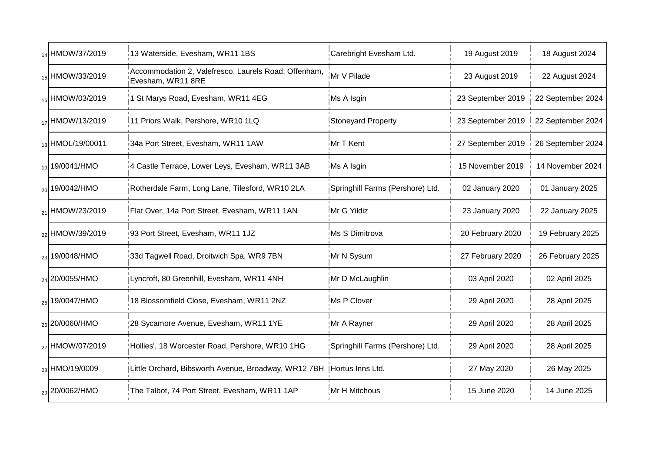| 14 HMOW/37/2019            | 13 Waterside, Evesham, WR11 1BS                                           | Carebright Evesham Ltd.          | 19 August 2019    | 18 August 2024    |
|----------------------------|---------------------------------------------------------------------------|----------------------------------|-------------------|-------------------|
| 15 HMOW/33/2019            | Accommodation 2, Valefresco, Laurels Road, Offenham,<br>Evesham, WR11 8RE | Mr V Pilade                      | 23 August 2019    | 22 August 2024    |
| 16 HMOW/03/2019            | 1 St Marys Road, Evesham, WR11 4EG                                        | Ms A Isgin                       | 23 September 2019 | 22 September 2024 |
| 17 HMOW/13/2019            | 11 Priors Walk, Pershore, WR10 1LQ                                        | <b>Stoneyard Property</b>        | 23 September 2019 | 22 September 2024 |
| 18 HMOL/19/00011           | 34a Port Street, Evesham, WR11 1AW                                        | Mr T Kent                        | 27 September 2019 | 26 September 2024 |
| 19/0041/HMO                | 4 Castle Terrace, Lower Leys, Evesham, WR11 3AB                           | Ms A Isgin                       | 15 November 2019  | 14 November 2024  |
| <sub>20</sub> 19/0042/HMO  | Rotherdale Farm, Long Lane, Tilesford, WR10 2LA                           | Springhill Farms (Pershore) Ltd. | 02 January 2020   | 01 January 2025   |
| <sub>21</sub> HMOW/23/2019 | Flat Over, 14a Port Street, Evesham, WR11 1AN                             | Mr G Yildiz                      | 23 January 2020   | 22 January 2025   |
| <sub>22</sub> HMOW/39/2019 | 93 Port Street, Evesham, WR11 1JZ                                         | Ms S Dimitrova                   | 20 February 2020  | 19 February 2025  |
| <sub>23</sub> 19/0048/HMO  | 33d Tagwell Road, Droitwich Spa, WR9 7BN                                  | Mr N Sysum                       | 27 February 2020  | 26 February 2025  |
| <sub>24</sub> 20/0055/HMO  | Lyncroft, 80 Greenhill, Evesham, WR11 4NH                                 | Mr D McLaughlin                  | 03 April 2020     | 02 April 2025     |
| <sub>25</sub> 19/0047/HMO  | 18 Blossomfield Close, Evesham, WR11 2NZ                                  | Ms P Clover                      | 29 April 2020     | 28 April 2025     |
| <sub>26</sub> 20/0060/HMO  | 28 Sycamore Avenue, Evesham, WR11 1YE                                     | Mr A Rayner                      | 29 April 2020     | 28 April 2025     |
| <sub>27</sub> HMOW/07/2019 | Hollies', 18 Worcester Road, Pershore, WR10 1HG                           | Springhill Farms (Pershore) Ltd. | 29 April 2020     | 28 April 2025     |
| <sub>28</sub> HMO/19/0009  | Little Orchard, Bibsworth Avenue, Broadway, WR12 7BH   Hortus Inns Ltd.   |                                  | 27 May 2020       | 26 May 2025       |
| <sub>29</sub> 20/0062/HMO  | The Talbot, 74 Port Street, Evesham, WR11 1AP                             | Mr H Mitchous                    | 15 June 2020      | 14 June 2025      |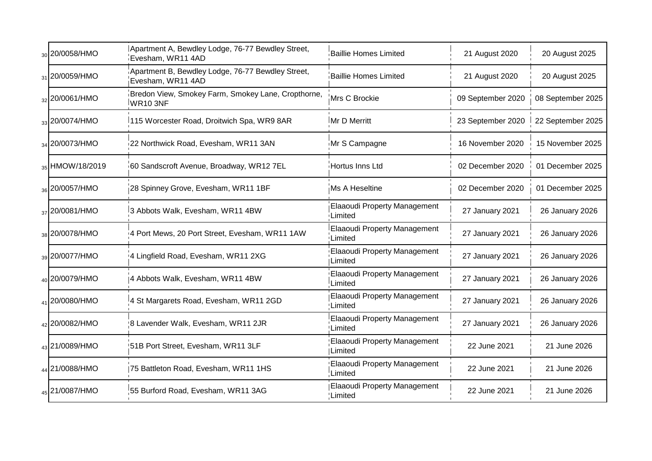| <sub>30</sub> 20/0058/HMO | Apartment A, Bewdley Lodge, 76-77 Bewdley Street,<br>Evesham, WR11 4AD | Baillie Homes Limited                           | 21 August 2020    | 20 August 2025    |
|---------------------------|------------------------------------------------------------------------|-------------------------------------------------|-------------------|-------------------|
| 31 20/0059/HMO            | Apartment B, Bewdley Lodge, 76-77 Bewdley Street,<br>Evesham, WR11 4AD | <b>Baillie Homes Limited</b>                    | 21 August 2020    | 20 August 2025    |
| 32 20/0061/HMO            | Bredon View, Smokey Farm, Smokey Lane, Cropthorne,<br>WR103NF          | Mrs C Brockie                                   | 09 September 2020 | 08 September 2025 |
| 33 20/0074/HMO            | 115 Worcester Road, Droitwich Spa, WR9 8AR                             | Mr D Merritt                                    | 23 September 2020 | 22 September 2025 |
| 34 20/0073/HMO            | 22 Northwick Road, Evesham, WR11 3AN                                   | Mr S Campagne                                   | 16 November 2020  | 15 November 2025  |
| 35 HMOW/18/2019           | 60 Sandscroft Avenue, Broadway, WR12 7EL                               | Hortus Inns Ltd                                 | 02 December 2020  | 01 December 2025  |
| 36 20/0057/HMO            | 28 Spinney Grove, Evesham, WR11 1BF                                    | Ms A Heseltine                                  | 02 December 2020  | 01 December 2025  |
| 37 20/0081/HMO            | 3 Abbots Walk, Evesham, WR11 4BW                                       | Elaaoudi Property Management<br>Limited         | 27 January 2021   | 26 January 2026   |
| 38 20/0078/HMO            | 4 Port Mews, 20 Port Street, Evesham, WR11 1AW                         | <b>Elaaoudi Property Management</b><br>Limited  | 27 January 2021   | 26 January 2026   |
| <sub>39</sub> 20/0077/HMO | 4 Lingfield Road, Evesham, WR11 2XG                                    | Elaaoudi Property Management<br>Limited         | 27 January 2021   | 26 January 2026   |
| <sub>40</sub> 20/0079/HMO | 4 Abbots Walk, Evesham, WR11 4BW                                       | <b>Elaaoudi Property Management</b><br>Limited  | 27 January 2021   | 26 January 2026   |
| 41 20/0080/HMO            | 4 St Margarets Road, Evesham, WR11 2GD                                 | <b>Elaaoudi Property Management</b><br>!Limited | 27 January 2021   | 26 January 2026   |
| 42 20/0082/HMO            | 8 Lavender Walk, Evesham, WR11 2JR                                     | Elaaoudi Property Management<br>! Limited       | 27 January 2021   | 26 January 2026   |
| 43 21/0089/HMO            | 51B Port Street, Evesham, WR11 3LF                                     | <b>Elaaoudi Property Management</b><br>Limited  | 22 June 2021      | 21 June 2026      |
| 44 21/0088/HMO            | 75 Battleton Road, Evesham, WR11 1HS                                   | <b>Elaaoudi Property Management</b><br>Limited  | 22 June 2021      | 21 June 2026      |
| 45 21/0087/HMO            | 55 Burford Road, Evesham, WR11 3AG                                     | Elaaoudi Property Management<br>: Limited       | 22 June 2021      | 21 June 2026      |